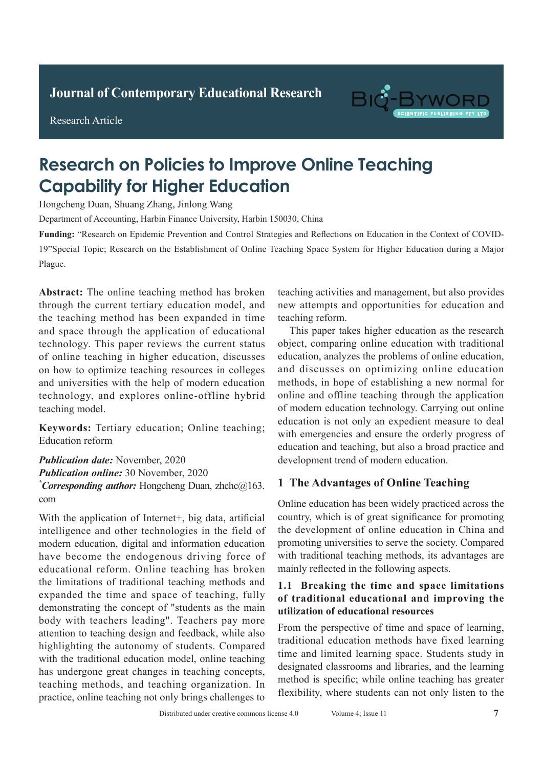**Journal of Clinical and Nursing Research Journal of Contemporary Educational Research**



Research Article



# **Research on Policies to Improve Online Teaching Capability for Higher Education**

Hongcheng Duan, Shuang Zhang, Jinlong Wang

Department of Accounting, Harbin Finance University, Harbin 150030, China

19"Special Topic; Research on the Establishment of Online Teaching Space System for Higher Education during a Major  $\frac{1}{1}$  con  $\frac{1}{1}$  chest enhanced scan for adults with a duality with a duality with a duality with a duality of  $\frac{1}{1}$ pulmonary tuberculosis. **Methods:** The clinical data of clinical data of clinical data of clinical data of clinical data of clinical data of clinical data of clinical data of clinical data of clinical data of clinical data  $\overline{c}$  infection with tuberculosis with tuberculosis with tuberculosis  $\overline{c}$ Funding: "Research on Epidemic Prevention and Control Strategies and Reflections on Education in the Context of COVID-Plague. *Absorption* 

60 adult patients with active pulmonary tuberculosis Abstract: The online teaching method has broken through the current tertiary education model, and the teaching method has been expanded in time and space through the application of educational technology. This paper reviews the current status of online teaching in higher education, discusses on how to optimize teaching resources in colleges and universities with the help of modern education technology, and explores online-offline hybrid teaching model. confirmed the existence of 75 tuberculosis lesions. The

Keywords: Tertiary education; Online teaching; ration reform<br>Education reform  $\mathcal{L}$  -ray. The detection rate of spiral CT enhanced scans  $\mathcal{L}$ 

Publication date: November, 2020 **Publication online:** 30 November, 2020 **Publication online:** 30 November, 2020 *\*Corresponding author:* Hongcheng Duan, zhchc@163. pulmonary tuberculosis signs was 98.85% higher than com  $\frac{1}{2}$  was significantly  $\frac{1}{2}$  was  $\frac{1}{2}$  to  $\frac{1}{2}$ .  $\overline{\phantom{a}}$ 

With the application of Internet+, big data, artificial From the difference of internet  $\gamma$  or  $g$  and, a since the intelligence and other technologies in the field of modern education, digital and information education modern education, digital and information education mouth canonical, alguns and information canonical nave occurre in concegencial arring force of **the limitations of traditional teaching has stelled** the limitations of traditional teaching methods and are inhumons of humanomic values meets and expanded the time and space of teaching, fully demonstrating the concept of "students as the main body with teachers leading". Teachers pay more attention to teaching design and feedback, while also *Publication to teaching actign and recessed, while also* highlighting the autonomy of students. Compared *Publication of the magnetical model, similar education model, similar educating teaching methods, and teaching organization.* In practice, online teaching not only brings challenges to mgangang are adversing or statement compared

Pulmonary tuberculosis can be asymptomatic in teaching activities and management, but also provides new attempts and opportunities for education and teaching reform.

This paper takes higher education as the research object, comparing online education with traditional education, analyzes the problems of online education, and discusses on optimizing online education, and discusses on optimizing online education methods, in hope of establishing a new normal for online and offline teaching through the application of modern education technology. Carrying out online education is not only an expedient measure to deal with emergencies and ensure the orderly progress of education and teaching, but also a broad practice and development trend of modern education. complicated and takes a long time, which is not the complete and the second term of the second term  $\mathcal{L}$ 

#### $\overline{a}$ 1 The Advantages of Online Teaching

Online education has been widely practiced across the country, which is of great significance for promoting country, the development of online education in China and promoting universities to serve the society. Compared with traditional teaching methods, its advantages are mainly reflected in the following aspects.

## 1.1 Breaking the time and space limitations **1.1 General information utilization of educational resources 1 Information and methods of traditional educational and improving the**

From the perspective of time and space of learning, traditional education methods have fixed learning time and limited learning space. Students study in time and limited learning space. Students study in all patients under the coming operator statents state, in designated classrooms and libraries, and the learning assignmed viastrooms and noraries, and the rearring<br>method is specific; while online teaching has greater method is specific, while similar elements and 3 featurely here students can not only listen to the rexionity, where statents can not only nown to the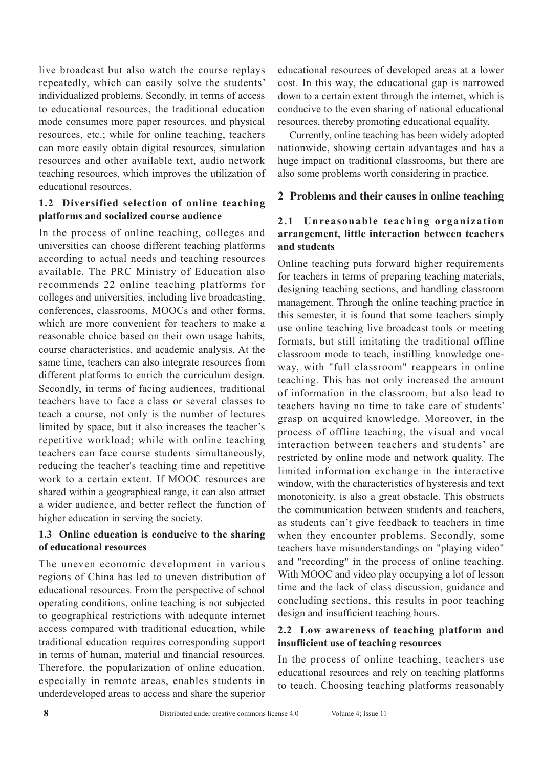live broadcast but also watch the course replays repeatedly, which can easily solve the students' individualized problems. Secondly, in terms of access to educational resources, the traditional education mode consumes more paper resources, and physical resources, etc.; while for online teaching, teachers can more easily obtain digital resources, simulation resources and other available text, audio network teaching resources, which improves the utilization of educational resources.

### **1.2 Diversified selection of online teaching platforms and socialized course audience**

In the process of online teaching, colleges and universities can choose different teaching platforms according to actual needs and teaching resources available. The PRC Ministry of Education also recommends 22 online teaching platforms for colleges and universities, including live broadcasting, conferences, classrooms, MOOCs and other forms, which are more convenient for teachers to make a reasonable choice based on their own usage habits, course characteristics, and academic analysis. At the same time, teachers can also integrate resources from different platforms to enrich the curriculum design. Secondly, in terms of facing audiences, traditional teachers have to face a class or several classes to teach a course, not only is the number of lectures limited by space, but it also increases the teacher's repetitive workload; while with online teaching teachers can face course students simultaneously, reducing the teacher's teaching time and repetitive work to a certain extent. If MOOC resources are shared within a geographical range, it can also attract a wider audience, and better reflect the function of higher education in serving the society.

## **1.3 Online education is conducive to the sharing of educational resources**

The uneven economic development in various regions of China has led to uneven distribution of educational resources. From the perspective of school operating conditions, online teaching is not subjected to geographical restrictions with adequate internet access compared with traditional education, while traditional education requires corresponding support in terms of human, material and financial resources. Therefore, the popularization of online education, especially in remote areas, enables students in underdeveloped areas to access and share the superior

educational resources of developed areas at a lower cost. In this way, the educational gap is narrowed down to a certain extent through the internet, which is conducive to the even sharing of national educational resources, thereby promoting educational equality.

Currently, online teaching has been widely adopted nationwide, showing certain advantages and has a huge impact on traditional classrooms, but there are also some problems worth considering in practice.

## **2 Problems and their causes in online teaching**

## **2.1 Unreasonable teaching organization arrangement, little interaction between teachers and students**

Online teaching puts forward higher requirements for teachers in terms of preparing teaching materials, designing teaching sections, and handling classroom management. Through the online teaching practice in this semester, it is found that some teachers simply use online teaching live broadcast tools or meeting formats, but still imitating the traditional offline classroom mode to teach, instilling knowledge oneway, with "full classroom" reappears in online teaching. This has not only increased the amount of information in the classroom, but also lead to teachers having no time to take care of students' grasp on acquired knowledge. Moreover, in the process of offline teaching, the visual and vocal interaction between teachers and students' are restricted by online mode and network quality. The limited information exchange in the interactive window, with the characteristics of hysteresis and text monotonicity, is also a great obstacle. This obstructs the communication between students and teachers, as students can't give feedback to teachers in time when they encounter problems. Secondly, some teachers have misunderstandings on "playing video" and "recording" in the process of online teaching. With MOOC and video play occupying a lot of lesson time and the lack of class discussion, guidance and concluding sections, this results in poor teaching design and insufficient teaching hours.

#### **2.2 Low awareness of teaching platform and insufficient use of teaching resources**

In the process of online teaching, teachers use educational resources and rely on teaching platforms to teach. Choosing teaching platforms reasonably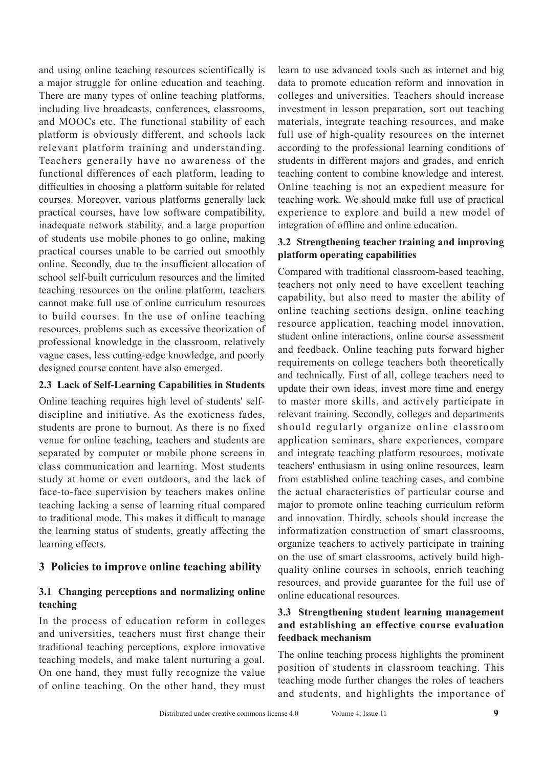and using online teaching resources scientifically is a major struggle for online education and teaching. There are many types of online teaching platforms, including live broadcasts, conferences, classrooms, and MOOCs etc. The functional stability of each platform is obviously different, and schools lack relevant platform training and understanding. Teachers generally have no awareness of the functional differences of each platform, leading to difficulties in choosing a platform suitable for related courses. Moreover, various platforms generally lack practical courses, have low software compatibility, inadequate network stability, and a large proportion of students use mobile phones to go online, making practical courses unable to be carried out smoothly online. Secondly, due to the insufficient allocation of school self-built curriculum resources and the limited teaching resources on the online platform, teachers cannot make full use of online curriculum resources to build courses. In the use of online teaching resources, problems such as excessive theorization of professional knowledge in the classroom, relatively vague cases, less cutting-edge knowledge, and poorly designed course content have also emerged.

## **2.3 Lack of Self-Learning Capabilities in Students**

Online teaching requires high level of students' selfdiscipline and initiative. As the exoticness fades, students are prone to burnout. As there is no fixed venue for online teaching, teachers and students are separated by computer or mobile phone screens in class communication and learning. Most students study at home or even outdoors, and the lack of face-to-face supervision by teachers makes online teaching lacking a sense of learning ritual compared to traditional mode. This makes it difficult to manage the learning status of students, greatly affecting the learning effects.

## **3 Policies to improve online teaching ability**

#### **3.1 Changing perceptions and normalizing online teaching**

In the process of education reform in colleges and universities, teachers must first change their traditional teaching perceptions, explore innovative teaching models, and make talent nurturing a goal. On one hand, they must fully recognize the value of online teaching. On the other hand, they must learn to use advanced tools such as internet and big data to promote education reform and innovation in colleges and universities. Teachers should increase investment in lesson preparation, sort out teaching materials, integrate teaching resources, and make full use of high-quality resources on the internet according to the professional learning conditions of students in different majors and grades, and enrich teaching content to combine knowledge and interest. Online teaching is not an expedient measure for teaching work. We should make full use of practical experience to explore and build a new model of integration of offline and online education.

## **3.2 Strengthening teacher training and improving platform operating capabilities**

Compared with traditional classroom-based teaching, teachers not only need to have excellent teaching capability, but also need to master the ability of online teaching sections design, online teaching resource application, teaching model innovation, student online interactions, online course assessment and feedback. Online teaching puts forward higher requirements on college teachers both theoretically and technically. First of all, college teachers need to update their own ideas, invest more time and energy to master more skills, and actively participate in relevant training. Secondly, colleges and departments should regularly organize online classroom application seminars, share experiences, compare and integrate teaching platform resources, motivate teachers' enthusiasm in using online resources, learn from established online teaching cases, and combine the actual characteristics of particular course and major to promote online teaching curriculum reform and innovation. Thirdly, schools should increase the informatization construction of smart classrooms, organize teachers to actively participate in training on the use of smart classrooms, actively build highquality online courses in schools, enrich teaching resources, and provide guarantee for the full use of online educational resources.

## **3.3 Strengthening student learning management and establishing an effective course evaluation feedback mechanism**

The online teaching process highlights the prominent position of students in classroom teaching. This teaching mode further changes the roles of teachers and students, and highlights the importance of